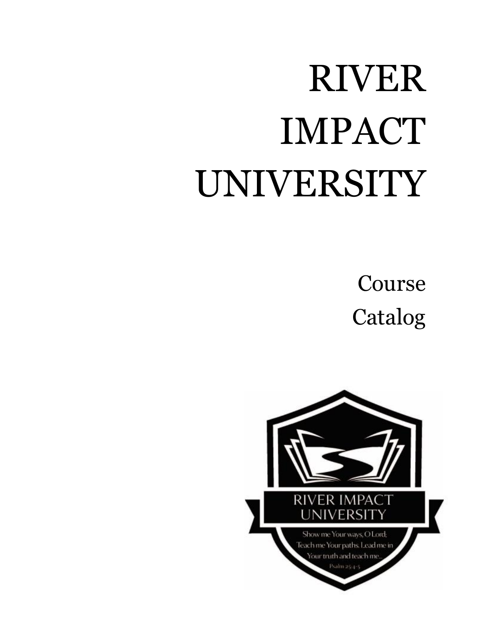## RIVER IMPACT UNIVERSITY

Course Catalog

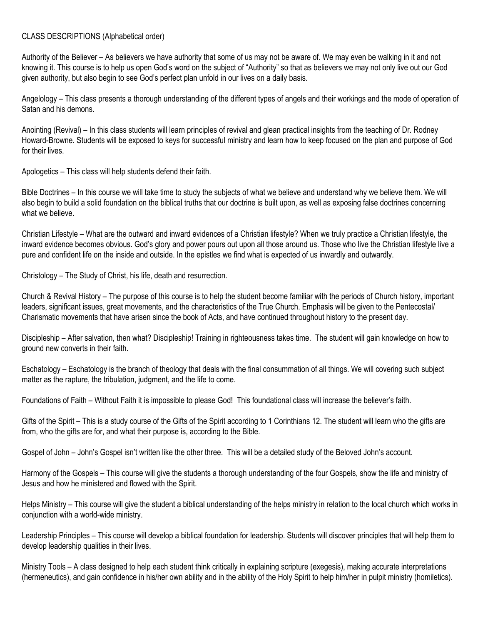## CLASS DESCRIPTIONS (Alphabetical order)

Authority of the Believer – As believers we have authority that some of us may not be aware of. We may even be walking in it and not knowing it. This course is to help us open God's word on the subject of "Authority" so that as believers we may not only live out our God given authority, but also begin to see God's perfect plan unfold in our lives on a daily basis.

Angelology – This class presents a thorough understanding of the different types of angels and their workings and the mode of operation of Satan and his demons.

Anointing (Revival) – In this class students will learn principles of revival and glean practical insights from the teaching of Dr. Rodney Howard-Browne. Students will be exposed to keys for successful ministry and learn how to keep focused on the plan and purpose of God for their lives.

Apologetics – This class will help students defend their faith.

Bible Doctrines – In this course we will take time to study the subjects of what we believe and understand why we believe them. We will also begin to build a solid foundation on the biblical truths that our doctrine is built upon, as well as exposing false doctrines concerning what we believe.

Christian Lifestyle – What are the outward and inward evidences of a Christian lifestyle? When we truly practice a Christian lifestyle, the inward evidence becomes obvious. God's glory and power pours out upon all those around us. Those who live the Christian lifestyle live a pure and confident life on the inside and outside. In the epistles we find what is expected of us inwardly and outwardly.

Christology – The Study of Christ, his life, death and resurrection.

Church & Revival History – The purpose of this course is to help the student become familiar with the periods of Church history, important leaders, significant issues, great movements, and the characteristics of the True Church. Emphasis will be given to the Pentecostal/ Charismatic movements that have arisen since the book of Acts, and have continued throughout history to the present day.

Discipleship – After salvation, then what? Discipleship! Training in righteousness takes time. The student will gain knowledge on how to ground new converts in their faith.

Eschatology – Eschatology is the branch of theology that deals with the final consummation of all things. We will covering such subject matter as the rapture, the tribulation, judgment, and the life to come.

Foundations of Faith – Without Faith it is impossible to please God! This foundational class will increase the believer's faith.

Gifts of the Spirit – This is a study course of the Gifts of the Spirit according to 1 Corinthians 12. The student will learn who the gifts are from, who the gifts are for, and what their purpose is, according to the Bible.

Gospel of John – John's Gospel isn't written like the other three. This will be a detailed study of the Beloved John's account.

Harmony of the Gospels – This course will give the students a thorough understanding of the four Gospels, show the life and ministry of Jesus and how he ministered and flowed with the Spirit.

Helps Ministry – This course will give the student a biblical understanding of the helps ministry in relation to the local church which works in conjunction with a world-wide ministry.

Leadership Principles – This course will develop a biblical foundation for leadership. Students will discover principles that will help them to develop leadership qualities in their lives.

Ministry Tools – A class designed to help each student think critically in explaining scripture (exegesis), making accurate interpretations (hermeneutics), and gain confidence in his/her own ability and in the ability of the Holy Spirit to help him/her in pulpit ministry (homiletics).